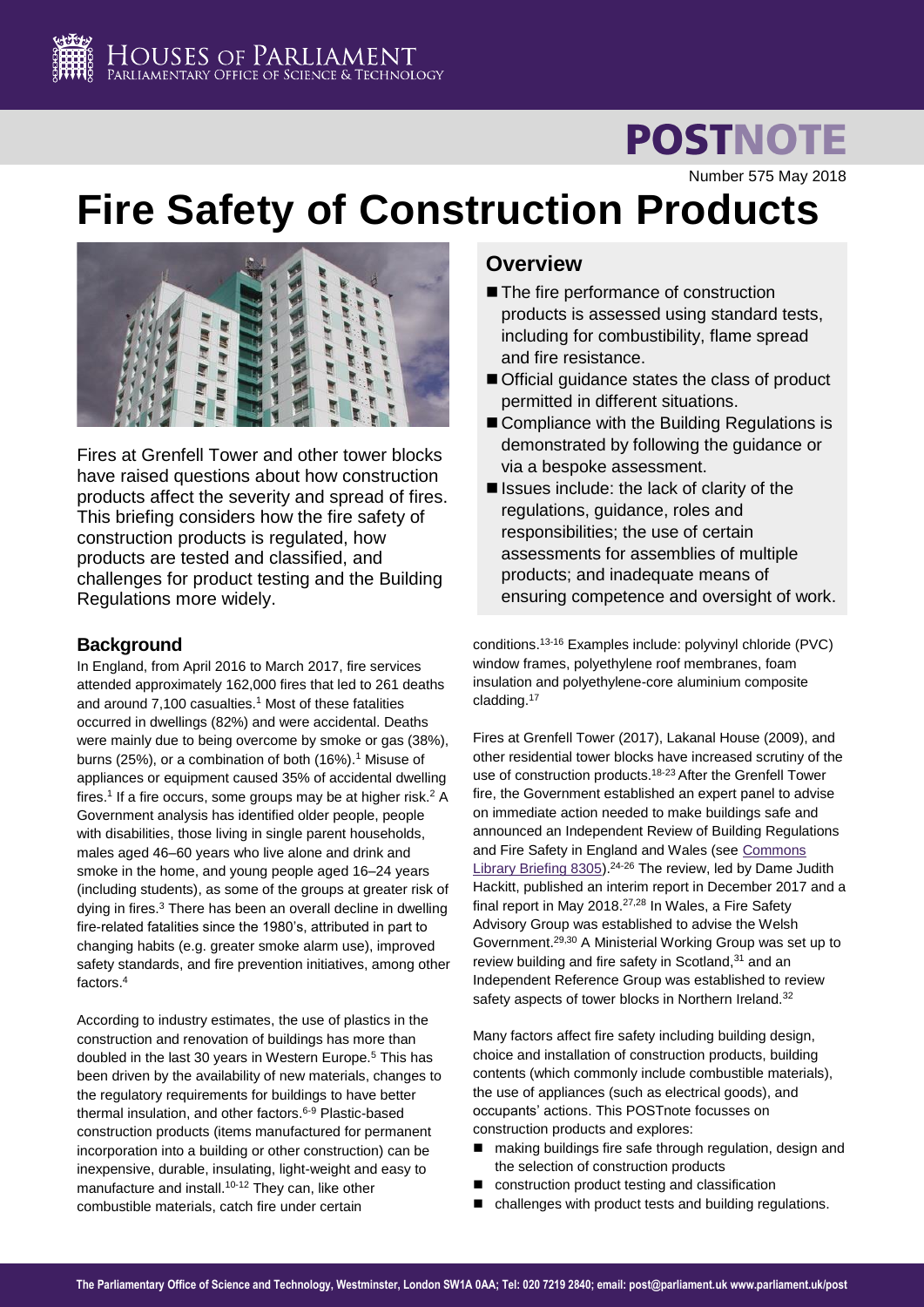

# **POSTNOTE**

Number 575 May 2018

# **Fire Safety of Construction Products**



Fires at Grenfell Tower and other tower blocks have raised questions about how construction products affect the severity and spread of fires. This briefing considers how the fire safety of construction products is regulated, how products are tested and classified, and challenges for product testing and the Building Regulations more widely.

## **Background**

<span id="page-0-0"></span>In England, from April 2016 to March 2017, fire services attended approximately 162,000 fires that led to 261 deaths and around 7,100 casualties.<sup>1</sup> Most of these fatalities occurred in dwellings (82%) and were accidental. Deaths were mainly due to being overcome by smoke or gas (38%), burns (25%), or a combination of both ([1](#page-0-0)6%).<sup>1</sup> Misuse of appliances or equipment caused 35% of accidental dwelling fires.<sup>[1](#page-0-0)</sup> If a fire occurs, some groups may be at higher risk.<sup>2</sup> A Government analysis has identified older people, people with disabilities, those living in single parent households, males aged 46–60 years who live alone and drink and smoke in the home, and young people aged 16–24 years (including students), as some of the groups at greater risk of dying in fires.<sup>3</sup> There has been an overall decline in dwelling fire-related fatalities since the 1980's, attributed in part to changing habits (e.g. greater smoke alarm use), improved safety standards, and fire prevention initiatives, among other factors.<sup>4</sup>

According to industry estimates, the use of plastics in the construction and renovation of buildings has more than doubled in the last 30 years in Western Europe.<sup>5</sup> This has been driven by the availability of new materials, changes to the regulatory requirements for buildings to have better thermal insulation, and other factors.<sup>6-9</sup> Plastic-based construction products (items manufactured for permanent incorporation into a building or other construction) can be inexpensive, durable, insulating, light-weight and easy to manufacture and install.<sup>10-12</sup> They can, like other combustible materials, catch fire under certain

## **Overview**

- The fire performance of construction products is assessed using standard tests, including for combustibility, flame spread and fire resistance.
- Official guidance states the class of product permitted in different situations.
- Compliance with the Building Regulations is demonstrated by following the guidance or via a bespoke assessment.
- $\blacksquare$  Issues include: the lack of clarity of the regulations, guidance, roles and responsibilities; the use of certain assessments for assemblies of multiple products; and inadequate means of ensuring competence and oversight of work.

conditions.13-16 Examples include: polyvinyl chloride (PVC) window frames, polyethylene roof membranes, foam insulation and polyethylene-core aluminium composite cladding.<sup>17</sup>

<span id="page-0-2"></span>Fires at Grenfell Tower (2017), Lakanal House (2009), and other residential tower blocks have increased scrutiny of the use of construction products.18-23 After the Grenfell Tower fire, the Government established an expert panel to advise on immediate action needed to make buildings safe and announced an Independent Review of Building Regulations and Fire Safety in England and Wales (see [Commons](https://researchbriefings.parliament.uk/ResearchBriefing/Summary/CBP-8305)  [Library Briefing 8305\)](https://researchbriefings.parliament.uk/ResearchBriefing/Summary/CBP-8305).24-26 The review, led by Dame Judith Hackitt, published an interim report in December 2017 and a final report in May 2018.27,28 In Wales, a Fire Safety Advisory Group was established to advise the Welsh Government.29,30 A Ministerial Working Group was set up to review building and fire safety in Scotland.<sup>31</sup> and an Independent Reference Group was established to review safety aspects of tower blocks in Northern Ireland.<sup>32</sup>

<span id="page-0-4"></span><span id="page-0-3"></span><span id="page-0-1"></span>Many factors affect fire safety including building design, choice and installation of construction products, building contents (which commonly include combustible materials), the use of appliances (such as electrical goods), and occupants' actions. This POSTnote focusses on construction products and explores:

- making buildings fire safe through regulation, design and the selection of construction products
- construction product testing and classification
- challenges with product tests and building regulations.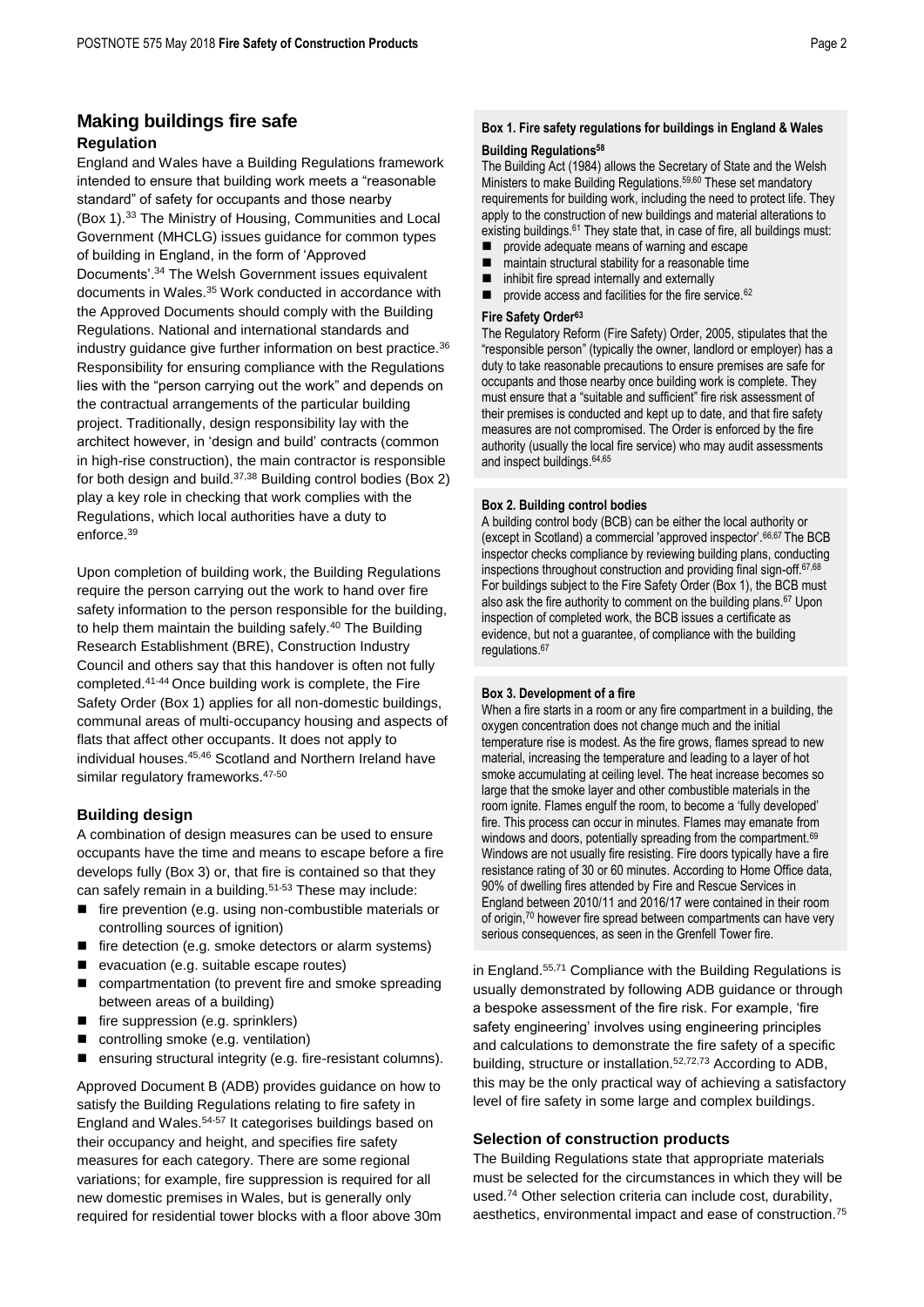## **Making buildings fire safe Regulation**

England and Wales have a Building Regulations framework intended to ensure that building work meets a "reasonable standard" of safety for occupants and those nearby (Box 1).<sup>33</sup> The Ministry of Housing, Communities and Local Government (MHCLG) issues guidance for common types of building in England, in the form of 'Approved Documents'.<sup>34</sup> The Welsh Government issues equivalent documents in Wales.<sup>35</sup> Work conducted in accordance with the Approved Documents should comply with the Building Regulations. National and international standards and industry quidance give further information on best practice.<sup>36</sup> Responsibility for ensuring compliance with the Regulations lies with the "person carrying out the work" and depends on the contractual arrangements of the particular building project. Traditionally, design responsibility lay with the architect however, in 'design and build' contracts (common in high-rise construction), the main contractor is responsible for both design and build.37,38 Building control bodies (Box 2) play a key role in checking that work complies with the Regulations, which local authorities have a duty to enforce.<sup>39</sup>

<span id="page-1-4"></span>Upon completion of building work, the Building Regulations require the person carrying out the work to hand over fire safety information to the person responsible for the building, to help them maintain the building safely.<sup>40</sup> The Building Research Establishment (BRE), Construction Industry Council and others say that this handover is often not fully completed.41-44 Once building work is complete, the Fire Safety Order (Box 1) applies for all non-domestic buildings, communal areas of multi-occupancy housing and aspects of flats that affect other occupants. It does not apply to individual houses.45,46 Scotland and Northern Ireland have similar regulatory frameworks. 47-50

#### **Building design**

A combination of design measures can be used to ensure occupants have the time and means to escape before a fire develops fully (Box 3) or, that fire is contained so that they can safely remain in a building.<sup>51-53</sup> These may include:

- <span id="page-1-3"></span> fire prevention (e.g. using non-combustible materials or controlling sources of ignition)
- $\blacksquare$  fire detection (e.g. smoke detectors or alarm systems)
- evacuation (e.g. suitable escape routes)
- compartmentation (to prevent fire and smoke spreading between areas of a building)
- fire suppression (e.g. sprinklers)
- controlling smoke (e.g. ventilation)
- ensuring structural integrity (e.g. fire-resistant columns).

<span id="page-1-5"></span><span id="page-1-2"></span>Approved Document B (ADB) provides guidance on how to satisfy the Building Regulations relating to fire safety in England and Wales.54-57 It categorises buildings based on their occupancy and height, and specifies fire safety measures for each category. There are some regional variations; for example, fire suppression is required for all new domestic premises in Wales, but is generally only required for residential tower blocks with a floor above 30m

## **Box 1. Fire safety regulations for buildings in England & Wales**

#### **Building Regulations<sup>58</sup>**

The Building Act (1984) allows the Secretary of State and the Welsh Ministers to make Building Regulations.59,60 These set mandatory requirements for building work, including the need to protect life. They apply to the construction of new buildings and material alterations to existing buildings.<sup>61</sup> They state that, in case of fire, all buildings must:

- provide adequate means of warning and escape
- maintain structural stability for a reasonable time inhibit fire spread internally and externally
- provide access and facilities for the fire service.<sup>62</sup>

#### **Fire Safety Order<sup>63</sup>**

The Regulatory Reform (Fire Safety) Order, 2005, stipulates that the "responsible person" (typically the owner, landlord or employer) has a duty to take reasonable precautions to ensure premises are safe for occupants and those nearby once building work is complete. They must ensure that a "suitable and sufficient" fire risk assessment of their premises is conducted and kept up to date, and that fire safety measures are not compromised. The Order is enforced by the fire authority (usually the local fire service) who may audit assessments and inspect buildings.64,65

#### **Box 2. Building control bodies**

<span id="page-1-1"></span><span id="page-1-0"></span>A building control body (BCB) can be either the local authority or (except in Scotland) a commercial 'approved inspector'.66,67 The BCB inspector checks compliance by reviewing building plans, conducting inspections throughout construction and providing final sign-off.[67,6](#page-1-0)8 For buildings subject to the Fire Safety Order (Box 1), the BCB must also ask the fire authority to comment on the building plans.[67](#page-1-1) Upon inspection of completed work, the BCB issues a certificate as evidence, but not a guarantee, of compliance with the building regulations.[67](#page-1-0)

#### **Box 3. Development of a fire**

When a fire starts in a room or any fire compartment in a building, the oxygen concentration does not change much and the initial temperature rise is modest. As the fire grows, flames spread to new material, increasing the temperature and leading to a layer of hot smoke accumulating at ceiling level. The heat increase becomes so large that the smoke layer and other combustible materials in the room ignite. Flames engulf the room, to become a 'fully developed' fire. This process can occur in minutes. Flames may emanate from windows and doors, potentially spreading from the compartment.<sup>69</sup> Windows are not usually fire resisting. Fire doors typically have a fire resistance rating of 30 or 60 minutes. According to Home Office data, 90% of dwelling fires attended by Fire and Rescue Services in England between 2010/11 and 2016/17 were contained in their room of origin,<sup>70</sup> however fire spread between compartments can have very serious consequences, as seen in the Grenfell Tower fire.

in England.[55,7](#page-1-2)1 Compliance with the Building Regulations is usually demonstrated by following ADB guidance or through a bespoke assessment of the fire risk. For example, 'fire safety engineering' involves using engineering principles and calculations to demonstrate the fire safety of a specific building, structure or installation.[52,7](#page-1-3)2,73 According to ADB, this may be the only practical way of achieving a satisfactory level of fire safety in some large and complex buildings.

#### **Selection of construction products**

The Building Regulations state that appropriate materials must be selected for the circumstances in which they will be used.<sup>74</sup> Other selection criteria can include cost, durability, aesthetics, environmental impact and ease of construction.75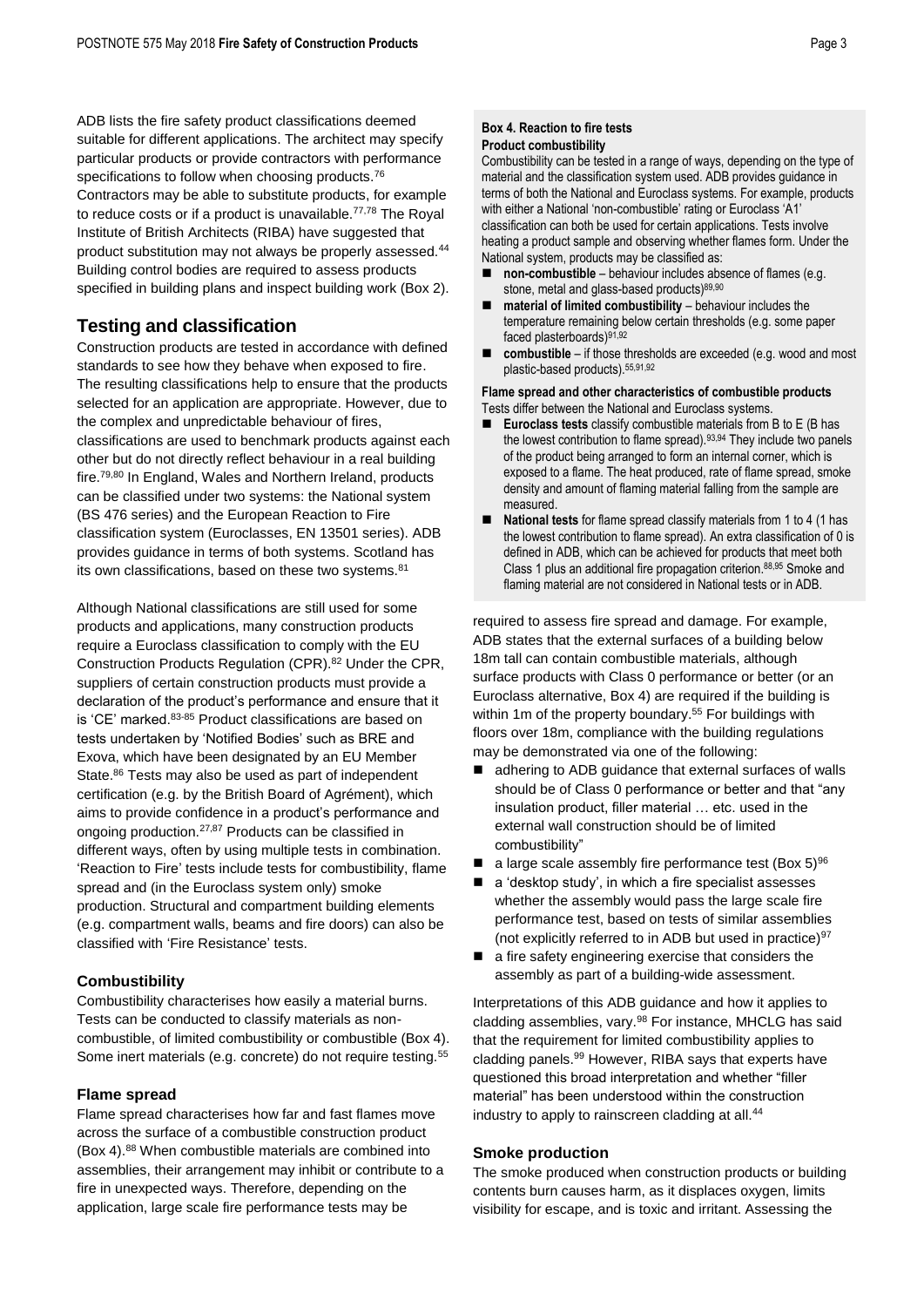ADB lists the fire safety product classifications deemed suitable for different applications. The architect may specify particular products or provide contractors with performance specifications to follow when choosing products.<sup>76</sup> Contractors may be able to substitute products, for example to reduce costs or if a product is unavailable. $77,78$  The Royal Institute of British Architects (RIBA) have suggested that product substitution may not always be properly assessed.<sup>[44](#page-1-4)</sup> Building control bodies are required to assess products specified in building plans and inspect building work (Box 2).

### **Testing and classification**

Construction products are tested in accordance with defined standards to see how they behave when exposed to fire. The resulting classifications help to ensure that the products selected for an application are appropriate. However, due to the complex and unpredictable behaviour of fires, classifications are used to benchmark products against each other but do not directly reflect behaviour in a real building fire.79,80 In England, Wales and Northern Ireland, products can be classified under two systems: the National system (BS 476 series) and the European Reaction to Fire classification system (Euroclasses, EN 13501 series). ADB provides guidance in terms of both systems. Scotland has its own classifications, based on these two systems.<sup>81</sup>

Although National classifications are still used for some products and applications, many construction products require a Euroclass classification to comply with the EU Construction Products Regulation (CPR).<sup>82</sup> Under the CPR, suppliers of certain construction products must provide a declaration of the product's performance and ensure that it is 'CE' marked.<sup>83-85</sup> Product classifications are based on tests undertaken by 'Notified Bodies' such as BRE and Exova, which have been designated by an EU Member State.<sup>86</sup> Tests may also be used as part of independent certification (e.g. by the British Board of Agrément), which aims to provide confidence in a product's performance and ongoing production.[27,8](#page-0-1)7 Products can be classified in different ways, often by using multiple tests in combination. 'Reaction to Fire' tests include tests for combustibility, flame spread and (in the Euroclass system only) smoke production. Structural and compartment building elements (e.g. compartment walls, beams and fire doors) can also be classified with 'Fire Resistance' tests.

#### **Combustibility**

Combustibility characterises how easily a material burns. Tests can be conducted to classify materials as noncombustible, of limited combustibility or combustible (Box 4). Some inert materials (e.g. concrete) do not require testing.<sup>[55](#page-1-2)</sup>

#### **Flame spread**

<span id="page-2-2"></span>Flame spread characterises how far and fast flames move across the surface of a combustible construction product (Box 4).<sup>88</sup> When combustible materials are combined into assemblies, their arrangement may inhibit or contribute to a fire in unexpected ways. Therefore, depending on the application, large scale fire performance tests may be

#### **Box 4. Reaction to fire tests Product combustibility**

Combustibility can be tested in a range of ways, depending on the type of material and the classification system used. ADB provides guidance in terms of both the National and Euroclass systems. For example, products with either a National 'non-combustible' rating or Euroclass 'A1' classification can both be used for certain applications. Tests involve heating a product sample and observing whether flames form. Under the National system, products may be classified as:

- **non-combustible** behaviour includes absence of flames (e.g. stone, metal and glass-based products)<sup>89,90</sup>
- **material of limited combustibility** behaviour includes the temperature remaining below certain thresholds (e.g. some paper faced plasterboards)91,92
- <span id="page-2-1"></span><span id="page-2-0"></span> **combustible** – if those thresholds are exceeded (e.g. wood and most plastic-based products).[55,](#page-1-2)[91,](#page-2-0)[92](#page-2-1)

#### **Flame spread and other characteristics of combustible products** Tests differ between the National and Euroclass systems.

- **Euroclass tests** classify combustible materials from B to E (B has the lowest contribution to flame spread).<sup>93,94</sup> They include two panels of the product being arranged to form an internal corner, which is exposed to a flame. The heat produced, rate of flame spread, smoke density and amount of flaming material falling from the sample are measured.
- **National tests** for flame spread classify materials from 1 to 4 (1 has the lowest contribution to flame spread). An extra classification of 0 is defined in ADB, which can be achieved for products that meet both Class 1 plus an additional fire propagation criterion. [88,9](#page-2-2)5 Smoke and flaming material are not considered in National tests or in ADB.

required to assess fire spread and damage. For example, ADB states that the external surfaces of a building below 18m tall can contain combustible materials, although surface products with Class 0 performance or better (or an Euroclass alternative, Box 4) are required if the building is within 1m of the property boundary.<sup>[55](#page-1-2)</sup> For buildings with floors over 18m, compliance with the building regulations may be demonstrated via one of the following:

- adhering to ADB guidance that external surfaces of walls should be of Class 0 performance or better and that "any insulation product, filler material … etc. used in the external wall construction should be of limited combustibility"
- a large scale assembly fire performance test (Box 5)<sup>96</sup>
- a 'desktop study', in which a fire specialist assesses whether the assembly would pass the large scale fire performance test, based on tests of similar assemblies (not explicitly referred to in ADB but used in practice) $97$
- a fire safety engineering exercise that considers the assembly as part of a building-wide assessment.

Interpretations of this ADB guidance and how it applies to cladding assemblies, vary.<sup>98</sup> For instance, MHCLG has said that the requirement for limited combustibility applies to cladding panels.<sup>99</sup> However, RIBA says that experts have questioned this broad interpretation and whether "filler material" has been understood within the construction industry to apply to rainscreen cladding at all.<sup>[44](#page-1-4)</sup>

#### **Smoke production**

The smoke produced when construction products or building contents burn causes harm, as it displaces oxygen, limits visibility for escape, and is toxic and irritant. Assessing the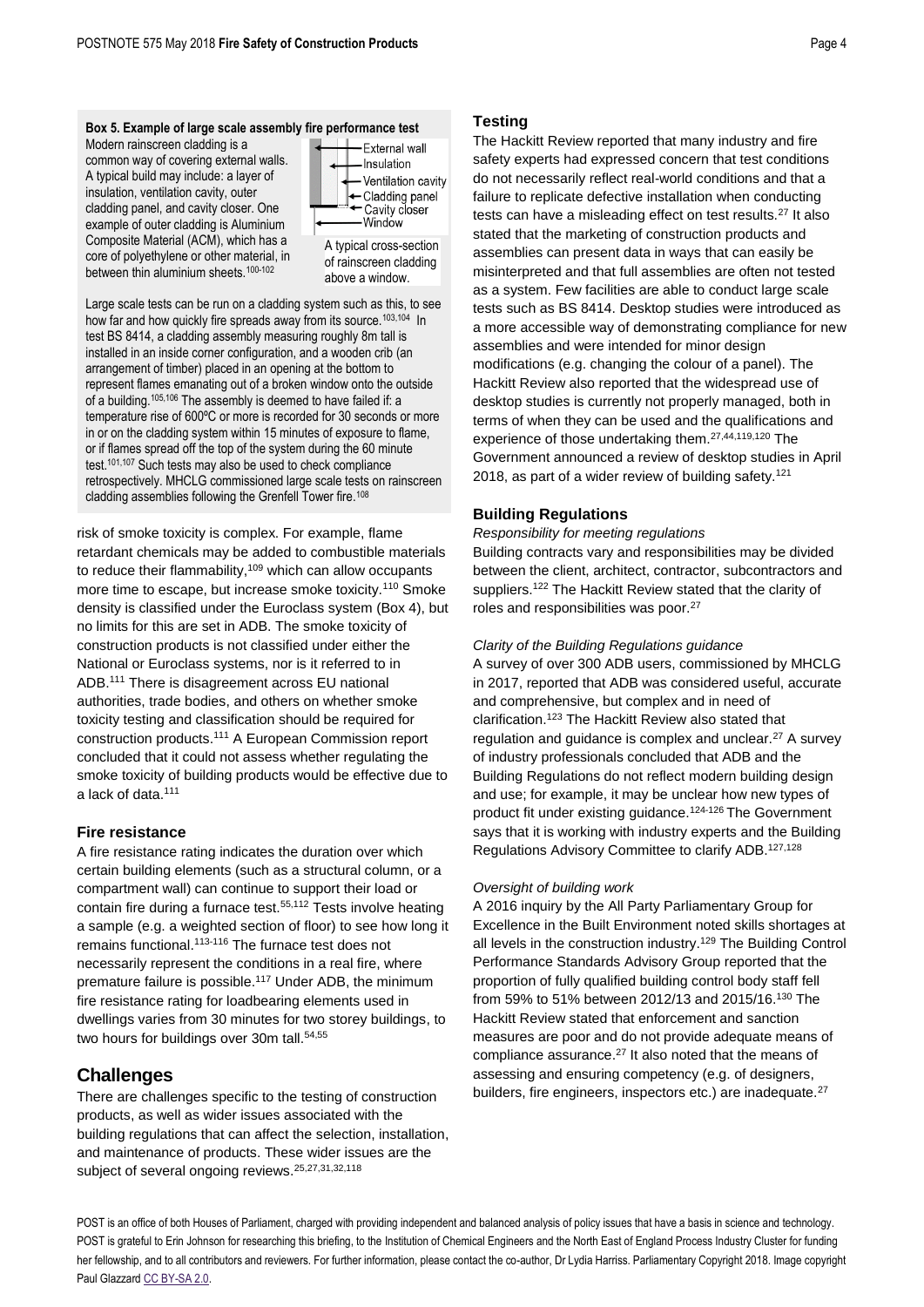Modern rainscreen cladding is a common way of covering external walls. A typical build may include: a layer of insulation, ventilation cavity, outer cladding panel, and cavity closer. One example of outer cladding is Aluminium Composite Material (ACM), which has a core of polyethylene or other material, in between thin aluminium sheets.<sup>100-102</sup>



<span id="page-3-0"></span>A typical cross-section of rainscreen cladding above a window.

Large scale tests can be run on a cladding system such as this, to see how far and how quickly fire spreads away from its source.<sup>103,104</sup> In test BS 8414, a cladding assembly measuring roughly 8m tall is installed in an inside corner configuration, and a wooden crib (an arrangement of timber) placed in an opening at the bottom to represent flames emanating out of a broken window onto the outside of a building.105,106 The assembly is deemed to have failed if: a temperature rise of 600ºC or more is recorded for 30 seconds or more in or on the cladding system within 15 minutes of exposure to flame, or if flames spread off the top of the system during the 60 minute test.[101,1](#page-3-0)07 Such tests may also be used to check compliance retrospectively. MHCLG commissioned large scale tests on rainscreen cladding assemblies following the Grenfell Tower fire.<sup>108</sup>

<span id="page-3-1"></span>risk of smoke toxicity is complex. For example, flame retardant chemicals may be added to combustible materials to reduce their flammability,<sup>109</sup> which can allow occupants more time to escape, but increase smoke toxicity.<sup>110</sup> Smoke density is classified under the Euroclass system (Box 4), but no limits for this are set in ADB. The smoke toxicity of construction products is not classified under either the National or Euroclass systems, nor is it referred to in ADB.<sup>111</sup> There is disagreement across EU national authorities, trade bodies, and others on whether smoke toxicity testing and classification should be required for construction products.[111](#page-3-1) A European Commission report concluded that it could not assess whether regulating the smoke toxicity of building products would be effective due to a lack of data.[111](#page-3-1)

### **Fire resistance**

A fire resistance rating indicates the duration over which certain building elements (such as a structural column, or a compartment wall) can continue to support their load or contain fire during a furnace test.<sup>[55,1](#page-1-2)12</sup> Tests involve heating a sample (e.g. a weighted section of floor) to see how long it remains functional.113-116 The furnace test does not necessarily represent the conditions in a real fire, where premature failure is possible.<sup>117</sup> Under ADB, the minimum fire resistance rating for loadbearing elements used in dwellings varies from 30 minutes for two storey buildings, to two hours for buildings over 30m tall.<sup>[54,](#page-1-5)[55](#page-1-2)</sup>

## **Challenges**

There are challenges specific to the testing of construction products, as well as wider issues associated with the building regulations that can affect the selection, installation, and maintenance of products. These wider issues are the subject of several ongoing reviews.<sup>[25,](#page-0-2)[27,](#page-0-1)[31,](#page-0-3)[32,1](#page-0-4)18</sup>

## **Testing**

The Hackitt Review reported that many industry and fire safety experts had expressed concern that test conditions do not necessarily reflect real-world conditions and that a failure to replicate defective installation when conducting tests can have a misleading effect on test results.<sup>[27](#page-0-1)</sup> It also stated that the marketing of construction products and assemblies can present data in ways that can easily be misinterpreted and that full assemblies are often not tested as a system. Few facilities are able to conduct large scale tests such as BS 8414. Desktop studies were introduced as a more accessible way of demonstrating compliance for new assemblies and were intended for minor design modifications (e.g. changing the colour of a panel). The Hackitt Review also reported that the widespread use of desktop studies is currently not properly managed, both in terms of when they can be used and the qualifications and experience of those undertaking them.[27,](#page-0-1)[44,1](#page-1-4)19,120 The Government announced a review of desktop studies in April 2018, as part of a wider review of building safety.<sup>121</sup>

## **Building Regulations**

*Responsibility for meeting regulations*

Building contracts vary and responsibilities may be divided between the client, architect, contractor, subcontractors and suppliers.<sup>122</sup> The Hackitt Review stated that the clarity of roles and responsibilities was poor.[27](#page-0-1)

#### *Clarity of the Building Regulations guidance*

A survey of over 300 ADB users, commissioned by MHCLG in 2017, reported that ADB was considered useful, accurate and comprehensive, but complex and in need of clarification.<sup>123</sup> The Hackitt Review also stated that regulation and guidance is complex and unclear.<sup>[27](#page-0-1)</sup> A survey of industry professionals concluded that ADB and the Building Regulations do not reflect modern building design and use; for example, it may be unclear how new types of product fit under existing guidance.124-126 The Government says that it is working with industry experts and the Building Regulations Advisory Committee to clarify ADB.127,128

#### *Oversight of building work*

A 2016 inquiry by the All Party Parliamentary Group for Excellence in the Built Environment noted skills shortages at all levels in the construction industry.<sup>129</sup> The Building Control Performance Standards Advisory Group reported that the proportion of fully qualified building control body staff fell from 59% to 51% between 2012/13 and 2015/16.<sup>130</sup> The Hackitt Review stated that enforcement and sanction measures are poor and do not provide adequate means of compliance assurance. [27](#page-0-1) It also noted that the means of assessing and ensuring competency (e.g. of designers, builders, fire engineers, inspectors etc.) are inadequate.<sup>[27](#page-0-1)</sup>

POST is an office of both Houses of Parliament, charged with providing independent and balanced analysis of policy issues that have a basis in science and technology. POST is grateful to Erin Johnson for researching this briefing, to the Institution of Chemical Engineers and the North East of England Process Industry Cluster for funding her fellowship, and to all contributors and reviewers. For further information, please contact the co-author. Dr Lydia Harriss, Parliamentary Copyright 2018. Image copyright Paul Glazzar[d CC BY-SA 2.0.](https://creativecommons.org/licenses/by-sa/2.0/)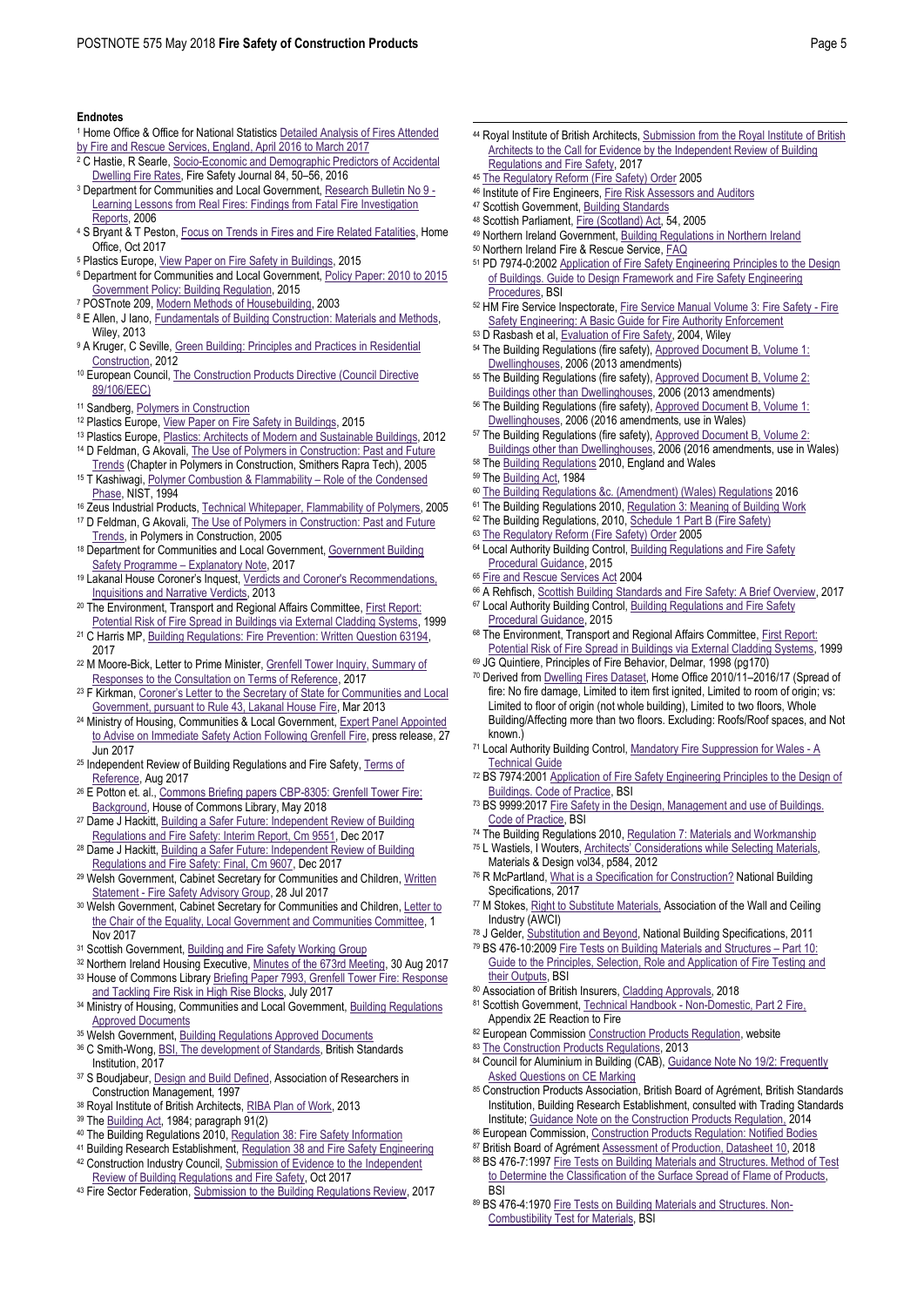#### **Endnotes**

- <sup>1</sup> Home Office & Office for National Statistic[s Detailed Analysis of Fires Attended](https://www.gov.uk/government/uploads/system/uploads/attachment_data/file/650926/detailed-analysis-fires-attended-fire-rescue-england-hosb1617.pdf)  [by Fire and Rescue Services, England, April 2016 to March 2017](https://www.gov.uk/government/uploads/system/uploads/attachment_data/file/650926/detailed-analysis-fires-attended-fire-rescue-england-hosb1617.pdf)
- <sup>2</sup> C Hastie, R Searle, Socio-Economic and Demographic Predictors of Accidental [Dwelling Fire Rates,](https://doi.org/10.1016/j.firesaf.2016.07.002) Fire Safety Journal 84, 50–56, 2016
- <sup>3</sup> Department for Communities and Local Government[, Research Bulletin No 9 -](http://webarchive.nationalarchives.gov.uk/20120919224946/http:/www.communities.gov.uk/publications/fire/researchbulletinno9) [Learning Lessons from Real Fires: Findings from Fatal Fire Investigation](http://webarchive.nationalarchives.gov.uk/20120919224946/http:/www.communities.gov.uk/publications/fire/researchbulletinno9)  [Reports,](http://webarchive.nationalarchives.gov.uk/20120919224946/http:/www.communities.gov.uk/publications/fire/researchbulletinno9) 2006
- 4 S Bryant & T Peston[, Focus on Trends in Fires and Fire Related Fatalities,](https://assets.publishing.service.gov.uk/government/uploads/system/uploads/attachment_data/file/650869/focus-trends-fires-fatalities-oct17.pdf) Home Office, Oct 2017
- <sup>5</sup> Plastics Europe[, View Paper on Fire Safety in Buildings,](https://www.plasticseurope.org/application/files/3515/1859/9752/view_paper_on_fire_safety_03122015.pdf) 2015
- <sup>6</sup> Department for Communities and Local Government[, Policy Paper: 2010 to 2015](https://www.gov.uk/government/publications/2010-to-2015-government-policy-building-regulation/2010-to-2015-government-policy-building-regulation)  [Government Policy: Building Regulation,](https://www.gov.uk/government/publications/2010-to-2015-government-policy-building-regulation/2010-to-2015-government-policy-building-regulation) 2015
- <sup>7</sup> POSTnote 209, [Modern Methods of Housebuilding,](http://www.parliament.uk/documents/post/postpn209.pdf) 2003
- 8 E Allen, J Iano, Fundamentals of Building Construction: Materials and Methods, Wiley, 2013
- 9 A Kruger, C Seville, Green Building: Principles and Practices in Residential [Construction,](https://books.google.co.uk/books?id=UbkKAAAAQBAJ&printsec=frontcover#v=onepage&q&f=false) 2012
- 10 European Council, The Construction Products Directive (Council Directive [89/106/EEC\)](http://eurocodes.jrc.ec.europa.eu/doc/construction_products_directive.pdf)
- <sup>11</sup> Sandberg[, Polymers in Construction](https://www.sandberg.co.uk/consultancy/polymers/polymers-in-construction.html)
- 12 Plastics Europe[, View Paper on Fire Safety in Buildings,](https://www.plasticseurope.org/application/files/3515/1859/9752/view_paper_on_fire_safety_03122015.pdf) 2015
- <sup>13</sup> Plastics Europe[, Plastics: Architects of Modern and Sustainable Buildings,](https://www.plasticseurope.org/application/files/6515/1714/0577/bc_flyer111212.pdf) 2012 14 D Feldman, G Akovali, The Use of Polymers in Construction: Past and Future
- [Trends](https://app.knovel.com/web/view/khtml/show.v/rcid:kpPC000011/cid:kt0095XOJM/viewerType:khtml/?view=collapsed&zoom=1&page=1) (Chapter in Polymers in Construction, Smithers Rapra Tech), 2005 <sup>15</sup> T Kashiwagi[, Polymer Combustion & Flammability](https://www.sciencedirect.com/science/article/pii/S0082078406807861) – Role of the Condensed [Phase,](https://www.sciencedirect.com/science/article/pii/S0082078406807861) NIST, 1994
- <sup>16</sup> Zeus Industrial Products[, Technical Whitepaper, Flammability of Polymers,](http://www.appstate.edu/~clementsjs/journalarticles/zeus_flammability.pdf) 2005
- <sup>17</sup> D Feldman, G Akovali[, The Use of Polymers in Construction: Past and Future](https://app.knovel.com/web/view/khtml/show.v/rcid:kpPC000011/cid:kt0095XOJM/viewerType:khtml/?view=collapsed&zoom=1&page=1)  [Trends,](https://app.knovel.com/web/view/khtml/show.v/rcid:kpPC000011/cid:kt0095XOJM/viewerType:khtml/?view=collapsed&zoom=1&page=1) in Polymers in Construction, 2005
- 18 Department for Communities and Local Government, Government Building [Safety Programme](https://www.gov.uk/government/uploads/system/uploads/attachment_data/file/624285/Safety_checks_explanatory_note_170630.pdf) – Explanatory Note, 2017
- <sup>19</sup> Lakanal House Coroner's Inquest, [Verdicts and Coroner's Recommendations,](https://www.lambeth.gov.uk/elections-and-council/lakanal-house-coroner-inquest)  [Inquisitions and Narrative Verdicts,](https://www.lambeth.gov.uk/elections-and-council/lakanal-house-coroner-inquest) 2013
- <sup>20</sup> The Environment, Transport and Regional Affairs Committee, First Report: [Potential Risk of Fire Spread in Buildings via External Cladding Systems,](https://publications.parliament.uk/pa/cm199900/cmselect/cmenvtra/109/10907.htm) 1999
- <sup>21</sup> C Harris MP[, Building Regulations: Fire Prevention: Written Question 63194,](http://www.parliament.uk/written-questions-answers-statements/written-question/commons/2017-02-06/63194)  2017
- <sup>22</sup> M Moore-Bick, Letter to Prime Minister, Grenfell Tower Inquiry, Summary of [Responses to the Consultation on Terms of Reference,](https://www.gov.uk/government/uploads/system/uploads/attachment_data/file/637908/Letter_Grenfell_Tower_Inquiry.pdf) 2017
- <sup>23</sup> F Kirkman, Coroner's Letter to the Secretary of State for Communities and Local [Government, pursuant to Rule 43, Lakanal House Fire,](https://www.lambeth.gov.uk/sites/default/files/ec-letter-to-DCLG-pursuant-to-rule43-28March2013.pdf) Mar 2013
- <sup>24</sup> Ministry of Housing, Communities & Local Government, Expert Panel Appointed [to Advise on Immediate Safety Action Following Grenfell Fire,](https://www.gov.uk/government/news/expert-panel-appointed-to-advise-on-immediate-safety-action-following-grenfell-fire) press release, 27 Jun 2017
- <sup>25</sup> Independent Review of Building Regulations and Fire Safety, Terms of [Reference,](https://www.gov.uk/government/uploads/system/uploads/attachment_data/file/640790/Hackitt_Review_terms_of_reference.pdf) Aug 2017
- <sup>26</sup> E Potton et. al.[, Commons Briefing papers CBP-8305: Grenfell Tower Fire:](https://researchbriefings.parliament.uk/ResearchBriefing/Summary/CBP-8305)  [Background,](https://researchbriefings.parliament.uk/ResearchBriefing/Summary/CBP-8305) House of Commons Library, May 2018
- 27 Dame J Hackitt, Building a Safer Future: Independent Review of Building [Regulations and Fire Safety: Interim Report, Cm 9551,](https://www.gov.uk/government/publications/independent-review-of-building-regulations-and-fire-safety-final-report) Dec 2017
- <sup>28</sup> Dame J Hackitt[, Building a Safer Future: Independent Review of Building](https://www.gov.uk/government/publications/independent-review-of-building-regulations-and-fire-safety-final-report)  [Regulations and Fire Safety: Final, Cm 9607,](https://www.gov.uk/government/publications/independent-review-of-building-regulations-and-fire-safety-final-report) Dec 2017
- <sup>29</sup> Welsh Government, Cabinet Secretary for Communities and Children, Written Statement - [Fire Safety Advisory Group,](http://gov.wales/about/cabinet/cabinetstatements/2017/firesafetyadvisorygroup/?lang=en) 28 Jul 2017
- 30 Welsh Government, Cabinet Secretary for Communities and Children, Letter to [the Chair of the Equality, Local Government and Communities Committee,](http://senedd.assembly.wales/documents/s68208/ELGC5-31-17%20Paper%205.pdf) 1 Nov 2017
- 31 Scottish Government[, Building and Fire Safety Working Group](https://beta.gov.scot/groups/building-and-fire-safety-working-group/)
- <sup>32</sup> Northern Ireland Housing Executive[, Minutes of the 673rd Meeting,](https://www.nihe.gov.uk/board_minutes_august_2017.pdf) 30 Aug 2017 <sup>33</sup> House of Commons Librar[y Briefing Paper 7993, Grenfell Tower Fire: Response](http://researchbriefings.files.parliament.uk/documents/CBP-7993/CBP-7993.pdf)
- [and Tackling Fire Risk in High Rise Blocks,](http://researchbriefings.files.parliament.uk/documents/CBP-7993/CBP-7993.pdf) July 2017
- 34 Ministry of Housing, Communities and Local Government, Building Regulations [Approved Documents](https://www.gov.uk/government/collections/approved-documents)
- 35 Welsh Government[, Building Regulations Approved Documents](http://gov.wales/topics/planning/buildingregs/approved-documents/?lang=en)
- <sup>36</sup> C Smith-Wong, BSI, The [development of Standards,](https://www.means-of-escape.com/content/bsi-development-standards) British Standards Institution, 2017
- 37 S Boudjabeur[, Design and Build Defined,](http://www.arcom.ac.uk/-docs/proceedings/ar1997-072-082_Boudjabeur.pdf) Association of Researchers in Construction Management, 1997
- <sup>38</sup> Royal Institute of British Architects[, RIBA Plan of Work,](https://www.architecture.com/knowledge-and-resources/resources-landing-page/riba-plan-of-work) 2013
- 39 Th[e Building Act,](https://www.legislation.gov.uk/ukpga/1984/55) 1984; paragraph 91(2)
- 40 The Building Regulations 2010[, Regulation 38: Fire Safety Information](http://www.legislation.gov.uk/uksi/2010/2214/regulation/38/made)
- <sup>41</sup> Building Research Establishment[, Regulation 38 and Fire Safety Engineering](https://www.bre.co.uk/page.jsp?id=3184)
- 42 Construction Industry Council, Submission of Evidence to the Independent [Review of Building Regulations and Fire Safety,](http://cic.org.uk/admin/resources/cic-submission-of-evidence-to-the-independent-review-of-building-regulations-and-fire-safety.pdf) Oct 2017
- 43 Fire Sector Federation[, Submission to the Building Regulations Review,](http://firesectorfederation.co.uk/update/resources/fsf-building-regulations-review-recommendations-final.pdf) 2017
- <sup>44</sup> Royal Institute of British Architects[, Submission from the Royal Institute of British](https://www.architecture.com/knowledge-and-resources/knowledge-landing-page/%20/-/media/files/grenfell-tower/171017-riba-submission-independent-review-of-building-regs-and-fire-safety-call-for-evidence-web-ver.pdf)  [Architects to the Call for Evidence by the Independent Review of Building](https://www.architecture.com/knowledge-and-resources/knowledge-landing-page/%20/-/media/files/grenfell-tower/171017-riba-submission-independent-review-of-building-regs-and-fire-safety-call-for-evidence-web-ver.pdf)  [Regulations and Fire Safety,](https://www.architecture.com/knowledge-and-resources/knowledge-landing-page/%20/-/media/files/grenfell-tower/171017-riba-submission-independent-review-of-building-regs-and-fire-safety-call-for-evidence-web-ver.pdf) 2017
- <sup>45</sup> [The Regulatory Reform \(Fire Safety\) Order](http://www.legislation.gov.uk/uksi/2005/1541/contents/made) 2005
- <sup>46</sup> Institute of Fire Engineers[, Fire Risk Assessors and Auditors](http://www.ife.org.uk/Fire-Risk-Assessors-Register)
- 47 Scottish Government[, Building Standards](https://beta.gov.scot/policies/building-standards/)

 $\overline{a}$ 

- <sup>48</sup> Scottish Parliament[, Fire \(Scotland\) Act,](https://www.legislation.gov.uk/asp/2005/5/section/54) 54, 2005
- <sup>49</sup> Northern Ireland Government[, Building Regulations in Northern Ireland](https://www.finance-ni.gov.uk/articles/building-regulations-northern-ireland)
- <sup>50</sup> Northern Ireland Fire & Rescue Service[, FAQ](https://www.nifrs.org/firesafe/faqs.php)
- <sup>51</sup> PD 7974-0:200[2 Application of Fire Safety Engineering Principles to the Design](https://shop.bsigroup.com/ProductDetail/?pid=000000000030041495)  [of Buildings. Guide to Design Framework and Fire Safety Engineering](https://shop.bsigroup.com/ProductDetail/?pid=000000000030041495)  [Procedures,](https://shop.bsigroup.com/ProductDetail/?pid=000000000030041495) BSI
- <sup>52</sup> HM Fire Service Inspectorate[, Fire Service Manual Volume 3: Fire Safety -](http://www.highrisefire.co.uk/docs/fse.pdf) Fire [Safety Engineering: A Basic Guide for Fire Authority Enforcement](http://www.highrisefire.co.uk/docs/fse.pdf)
- <sup>53</sup> D Rasbash et al[, Evaluation of Fire Safety,](http://eu.wiley.com/WileyCDA/WileyTitle/productCd-0471493821.html) 2004, Wiley
- 54 The Building Regulations (fire safety)[, Approved Document B, Volume](https://www.gov.uk/government/uploads/system/uploads/attachment_data/file/485420/BR_PDF_AD_B1_2013.pdf) 1: [Dwellinghouses,](https://www.gov.uk/government/uploads/system/uploads/attachment_data/file/485420/BR_PDF_AD_B1_2013.pdf) 2006 (2013 amendments)
- 55 The Building Regulations (fire safety), Approved Document B, Volume 2: [Buildings other than Dwellinghouses,](https://www.gov.uk/government/uploads/system/uploads/attachment_data/file/441669/BR_PDF_AD_B2_2013.pdf) 2006 (2013 amendments)
- <sup>56</sup> The Building Regulations (fire safety), Approved Document B, Volume 1: [Dwellinghouses,](http://gov.wales/docs/desh/publications/150827building-regs-approved-document-b1-fire-en.pdf) 2006 (2016 amendments, use in Wales)
- <sup>57</sup> The Building Regulations (fire safety), Approved Document B, Volume 2: [Buildings other than Dwellinghouses,](http://gov.wales/docs/desh/publications/150827building-regs-approved-document-b2-fire-en.pdf) 2006 (2016 amendments, use in Wales)
- <sup>58</sup> Th[e Building Regulations](http://www.legislation.gov.uk/uksi/2010/2214/pdfs/uksi_20102214_en.pdf) 2010, England and Wales
- <sup>59</sup> Th[e Building Act,](https://www.legislation.gov.uk/ukpga/1984/55) 1984
- <sup>60</sup> [The Building Regulations &c. \(Amendment\) \(Wales\) Regulations](http://www.senedd.assembly.wales/documents/s50517/SL50012016.pdf) 2016
- <sup>61</sup> The Building Regulations 2010[, Regulation 3: Meaning of Building Work](http://www.legislation.gov.uk/uksi/2010/2214/regulation/3/made)
- <sup>62</sup> The Building Regulations, 2010[, Schedule 1 Part B \(Fire Safety\)](http://www.legislation.gov.uk/uksi/2010/2214/schedule/1/made)
- 63 [The Regulatory Reform \(Fire Safety\) Order](http://www.legislation.gov.uk/uksi/2005/1541/contents/made) 2005
- <sup>64</sup> Local Authority Building Control, Building Regulations and Fire Safety [Procedural Guidance,](https://www.labc.co.uk/sites/default/files/procedural_guidance_march_2015.pdf) 2015
- <sup>65</sup> [Fire and Rescue Services](https://www.legislation.gov.uk/ukpga/2004/21/contents) Act 2004
- <sup>66</sup> A Rehfisch[, Scottish Building Standards and Fire Safety: A Brief Overview,](https://sp-bpr-en-prod-cdnep.azureedge.net/published/2017/11/3/Scottish-Building-Standards-and-Fire-Safety--A-Brief-Overview/SB%2017-73.pdf) 2017
- <sup>67</sup> Local Authority Building Control, Building Regulations and Fire Safety [Procedural Guidance,](https://www.labc.co.uk/sites/default/files/procedural_guidance_march_2015.pdf) 2015
- 68 The Environment, Transport and Regional Affairs Committee, First Report: [Potential Risk of Fire Spread in Buildings via External Cladding Systems,](https://publications.parliament.uk/pa/cm199900/cmselect/cmenvtra/109/10907.htm) 1999
- <sup>69</sup> JG Quintiere, Principles of Fire Behavior, Delmar, 1998 (pg170)
- <sup>70</sup> Derived fro[m Dwelling Fires Dataset,](https://www.gov.uk/government/uploads/system/uploads/attachment_data/file/657792/dwelling-fires-dataset.ods) Home Office 2010/11–2016/17 (Spread of fire: No fire damage, Limited to item first ignited, Limited to room of origin; vs: Limited to floor of origin (not whole building), Limited to two floors, Whole Building/Affecting more than two floors. Excluding: Roofs/Roof spaces, and Not known.)
- <sup>71</sup> Local Authority Building Control[, Mandatory Fire Suppression for Wales -](https://www.labc.co.uk/guidance/spotlight/mandatory-fire-suppression-wales-technical-guide) A [Technical Guide](https://www.labc.co.uk/guidance/spotlight/mandatory-fire-suppression-wales-technical-guide)
- <sup>72</sup> BS 7974:2001 Application of Fire Safety Engineering Principles to the Design of [Buildings. Code of Practice,](https://shttps/shop.bsigroup.com/ProductDetail/?pid=000000000030028692hop.bsigroup.com/ProductDetail/?pid=000000000030028692) BSI
- <sup>73</sup> BS 9999:201[7 Fire Safety in the Design, Management and use of Buildings.](https://shop.bsigroup.com/ProductDetail/?pid=000000000030357099)  [Code of Practice,](https://shop.bsigroup.com/ProductDetail/?pid=000000000030357099) BSI
- <sup>74</sup> The Building Regulations 2010[, Regulation 7: Materials and Workmanship](http://www.legislation.gov.uk/uksi/2010/2214/regulation/7/made)
- <sup>75</sup> L Wastiels, I Wouters, Architects' [Considerations while Selecting Materials,](https://cris.vub.be/en/publications/architects-considerations-while-selecting-materials(b15979a4-5572-4a51-98c3-b0a75629b6e1).html)  Materials & Design vol34, p584, 2012
- 76 R McPartland[, What is a Specification for Construction?](https://www.thenbs.com/knowledge/what-is-a-specification-for-construction) National Building Specifications, 2017
- 77 M Stokes[, Right to Substitute Materials,](http://www.awci.org/cd/pdfs/8001_x.pdf) Association of the Wall and Ceiling Industry (AWCI)
- 78 J Gelder[, Substitution and Beyond,](https://www.thenbs.com/knowledge/substitution-and-beyond) National Building Specifications, 2011
- <sup>79</sup> BS 476-10:200[9 Fire Tests on Building Materials and Structures](https://shop.bsigroup.com/ProductDetail/?pid=000000000030147205)  Part 10: [Guide to the Principles, Selection, Role and Application of Fire Testing and](https://shop.bsigroup.com/ProductDetail/?pid=000000000030147205)  [their Outputs,](https://shop.bsigroup.com/ProductDetail/?pid=000000000030147205) BSI
- 80 Association of British Insurers[, Cladding Approvals,](https://www.abi.org.uk/news/news-articles/2018/04/scale-of-fire-safety-testing-failures-laid-bare/) 2018
- 81 Scottish Government, Technical Handbook [Non-Domestic, Part 2 Fire,](http://www.gov.scot/Resource/0052/00521763.pdf) Appendix 2E Reaction to Fire
- 82 European Commissio[n Construction Products Regulation,](https://ec.europa.eu/growth/sectors/construction/product-regulation_en) website
- 83 [The Construction Products Regulations,](https://www.legislation.gov.uk/uksi/2013/1387/contents/made) 2013
- 84 Council for Aluminium in Building (CAB), Guidance Note No 19/2: Frequently **[Asked Questions on CE Marking](http://www.c-a-b.org.uk/wp-content/uploads/CGN-19_2-CE-Marking-FAQs.pdf)**
- 85 Construction Products Association, British Board of Agrément, British Standards Institution, Building Research Establishment, consulted with Trading Standards Institute[; Guidance Note on the Construction Products Regulation,](https://www.constructionproducts.org.uk/publications/technical-and-regulatory/construction-products-regulation/) 2014
- 86 European Commission[, Construction Products Regulation: Notified Bodies](https://ec.europa.eu/growth/sectors/construction/product-regulation/notified-bodies_en)
- 87 British Board of Agrémen[t Assessment of Production, Datasheet 10,](http://www.bbacerts.co.uk/download/document-types/literature/BBAdatasheet_10i9.pdf) 2018
- 88 BS 476-7:1997 Fire Tests on Building Materials and Structures. Method of Test [to Determine the Classification of the Surface Spread of Flame of Products,](https://shop.bsigroup.com/ProductDetail/?pid=000000000030147205)  **BSI**
- 89 BS 476-4:197[0 Fire Tests on Building Materials and Structures. Non-](https://shop.bsigroup.com/ProductDetail/?pid=000000000030296640)[Combustibility Test for Materials,](https://shop.bsigroup.com/ProductDetail/?pid=000000000030296640) BSI